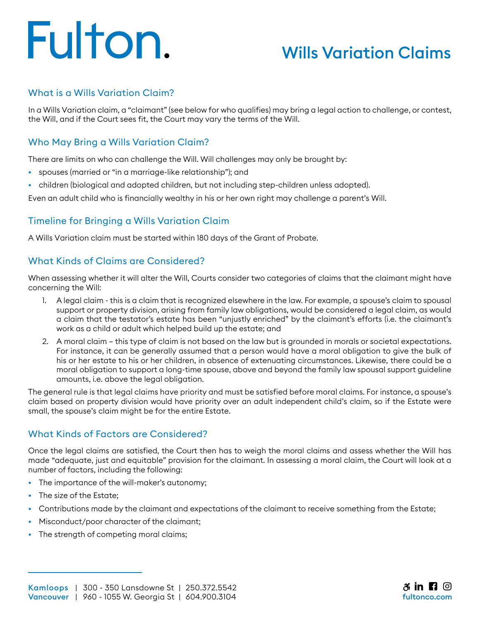# Fulton.

### Wills Variation Claims

#### What is a Wills Variation Claim?

In a Wills Variation claim, a "claimant" (see below for who qualifies) may bring a legal action to challenge, or contest, the Will, and if the Court sees fit, the Court may vary the terms of the Will.

#### Who May Bring a Wills Variation Claim?

There are limits on who can challenge the Will. Will challenges may only be brought by:

- spouses (married or "in a marriage-like relationship"); and
- children (biological and adopted children, but not including step-children unless adopted).

Even an adult child who is financially wealthy in his or her own right may challenge a parent's Will.

#### Timeline for Bringing a Wills Variation Claim

A Wills Variation claim must be started within 180 days of the Grant of Probate.

#### What Kinds of Claims are Considered?

When assessing whether it will alter the Will, Courts consider two categories of claims that the claimant might have concerning the Will:

- 1. A legal claim this is a claim that is recognized elsewhere in the law. For example, a spouse's claim to spousal support or property division, arising from family law obligations, would be considered a legal claim, as would a claim that the testator's estate has been "unjustly enriched" by the claimant's efforts (i.e. the claimant's work as a child or adult which helped build up the estate; and
- 2. A moral claim this type of claim is not based on the law but is grounded in morals or societal expectations. For instance, it can be generally assumed that a person would have a moral obligation to give the bulk of his or her estate to his or her children, in absence of extenuating circumstances. Likewise, there could be a moral obligation to support a long-time spouse, above and beyond the family law spousal support guideline amounts, i.e. above the legal obligation.

The general rule is that legal claims have priority and must be satisfied before moral claims. For instance, a spouse's claim based on property division would have priority over an adult independent child's claim, so if the Estate were small, the spouse's claim might be for the entire Estate.

#### What Kinds of Factors are Considered?

Once the legal claims are satisfied, the Court then has to weigh the moral claims and assess whether the Will has made "adequate, just and equitable" provision for the claimant. In assessing a moral claim, the Court will look at a number of factors, including the following:

- The importance of the will-maker's autonomy;
- The size of the Estate;
- Contributions made by the claimant and expectations of the claimant to receive something from the Estate;
- Misconduct/poor character of the claimant;
- The strength of competing moral claims;